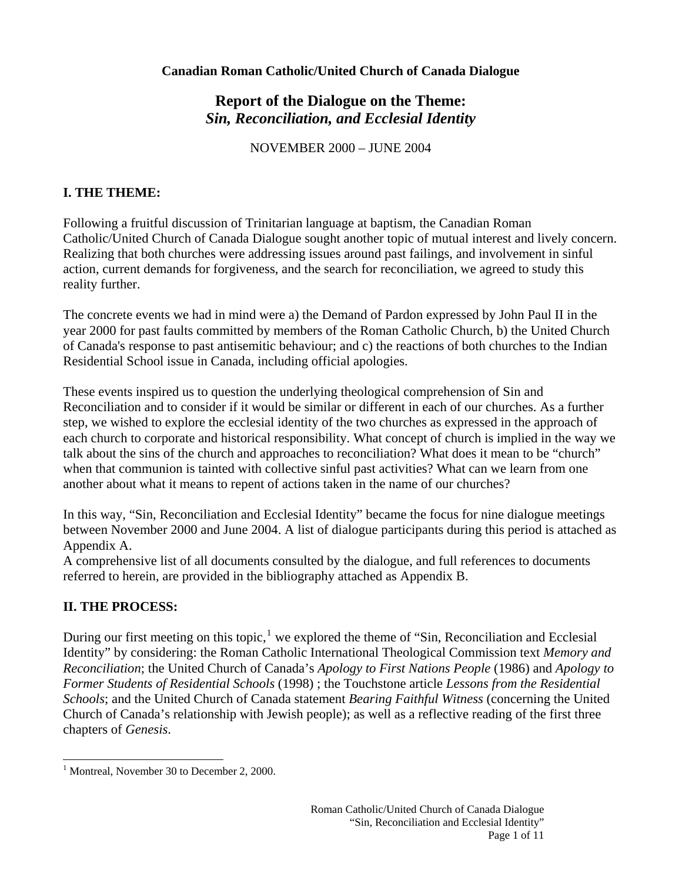# **Report of the Dialogue on the Theme:**  *Sin, Reconciliation, and Ecclesial Identity*

NOVEMBER 2000 – JUNE 2004

## **I. THE THEME:**

Following a fruitful discussion of Trinitarian language at baptism, the Canadian Roman Catholic/United Church of Canada Dialogue sought another topic of mutual interest and lively concern. Realizing that both churches were addressing issues around past failings, and involvement in sinful action, current demands for forgiveness, and the search for reconciliation, we agreed to study this reality further.

The concrete events we had in mind were a) the Demand of Pardon expressed by John Paul II in the year 2000 for past faults committed by members of the Roman Catholic Church, b) the United Church of Canada's response to past antisemitic behaviour; and c) the reactions of both churches to the Indian Residential School issue in Canada, including official apologies.

These events inspired us to question the underlying theological comprehension of Sin and Reconciliation and to consider if it would be similar or different in each of our churches. As a further step, we wished to explore the ecclesial identity of the two churches as expressed in the approach of each church to corporate and historical responsibility. What concept of church is implied in the way we talk about the sins of the church and approaches to reconciliation? What does it mean to be "church" when that communion is tainted with collective sinful past activities? What can we learn from one another about what it means to repent of actions taken in the name of our churches?

In this way, "Sin, Reconciliation and Ecclesial Identity" became the focus for nine dialogue meetings between November 2000 and June 2004. A list of dialogue participants during this period is attached as Appendix A.

A comprehensive list of all documents consulted by the dialogue, and full references to documents referred to herein, are provided in the bibliography attached as Appendix B.

## **II. THE PROCESS:**

During our first meeting on this topic,  $\frac{1}{1}$  $\frac{1}{1}$  $\frac{1}{1}$  we explored the theme of "Sin, Reconciliation and Ecclesial Identity" by considering: the Roman Catholic International Theological Commission text *Memory and Reconciliation*; the United Church of Canada's *Apology to First Nations People* (1986) and *Apology to Former Students of Residential Schools* (1998) ; the Touchstone article *Lessons from the Residential Schools*; and the United Church of Canada statement *Bearing Faithful Witness* (concerning the United Church of Canada's relationship with Jewish people); as well as a reflective reading of the first three chapters of *Genesis*.

<span id="page-0-0"></span> $\overline{a}$ <sup>1</sup> Montreal, November 30 to December 2, 2000.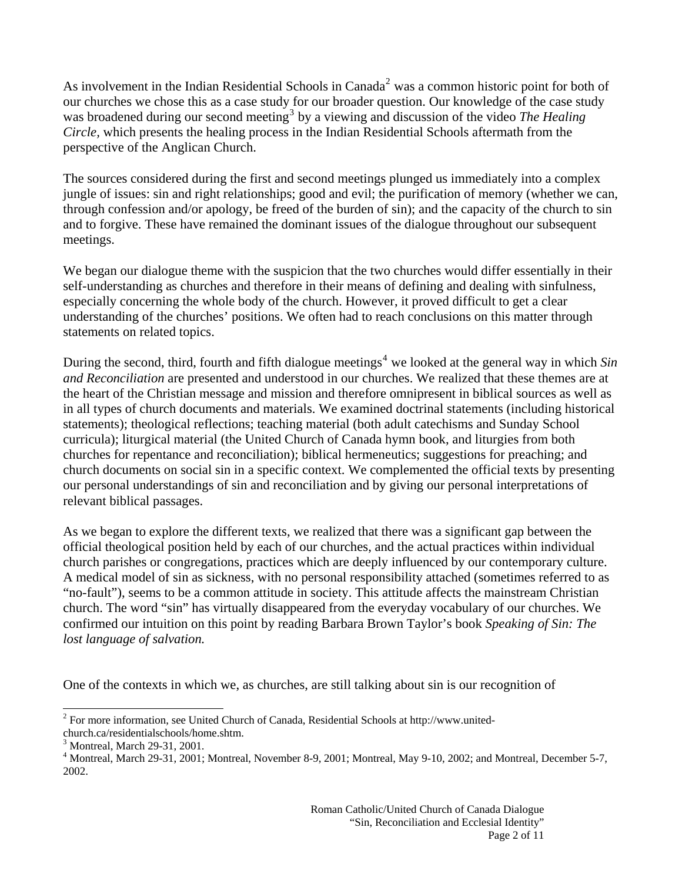As involvement in the Indian Residential Schools in Canada<sup>[2](#page-1-0)</sup> was a common historic point for both of our churches we chose this as a case study for our broader question. Our knowledge of the case study was broadened during our second meeting<sup>[3](#page-1-1)</sup> by a viewing and discussion of the video *The Healing Circle,* which presents the healing process in the Indian Residential Schools aftermath from the perspective of the Anglican Church.

The sources considered during the first and second meetings plunged us immediately into a complex jungle of issues: sin and right relationships; good and evil; the purification of memory (whether we can, through confession and/or apology, be freed of the burden of sin); and the capacity of the church to sin and to forgive. These have remained the dominant issues of the dialogue throughout our subsequent meetings.

We began our dialogue theme with the suspicion that the two churches would differ essentially in their self-understanding as churches and therefore in their means of defining and dealing with sinfulness, especially concerning the whole body of the church. However, it proved difficult to get a clear understanding of the churches' positions. We often had to reach conclusions on this matter through statements on related topics.

During the second, third, fourth and fifth dialogue meetings<sup>[4](#page-1-2)</sup> we looked at the general way in which *Sin and Reconciliation* are presented and understood in our churches. We realized that these themes are at the heart of the Christian message and mission and therefore omnipresent in biblical sources as well as in all types of church documents and materials. We examined doctrinal statements (including historical statements); theological reflections; teaching material (both adult catechisms and Sunday School curricula); liturgical material (the United Church of Canada hymn book, and liturgies from both churches for repentance and reconciliation); biblical hermeneutics; suggestions for preaching; and church documents on social sin in a specific context. We complemented the official texts by presenting our personal understandings of sin and reconciliation and by giving our personal interpretations of relevant biblical passages.

As we began to explore the different texts, we realized that there was a significant gap between the official theological position held by each of our churches, and the actual practices within individual church parishes or congregations, practices which are deeply influenced by our contemporary culture. A medical model of sin as sickness, with no personal responsibility attached (sometimes referred to as "no-fault"), seems to be a common attitude in society. This attitude affects the mainstream Christian church. The word "sin" has virtually disappeared from the everyday vocabulary of our churches. We confirmed our intuition on this point by reading Barbara Brown Taylor's book *Speaking of Sin: The lost language of salvation.* 

One of the contexts in which we, as churches, are still talking about sin is our recognition of

 $\overline{a}$ 

<span id="page-1-0"></span><sup>&</sup>lt;sup>2</sup> For more information, see United Church of Canada, Residential Schools at http://www.united-

church.ca/residentialschools/home.shtm.

<span id="page-1-1"></span><sup>3</sup> Montreal, March 29-31, 2001.

<span id="page-1-2"></span><sup>&</sup>lt;sup>4</sup> Montreal, March 29-31, 2001; Montreal, November 8-9, 2001; Montreal, May 9-10, 2002; and Montreal, December 5-7, 2002.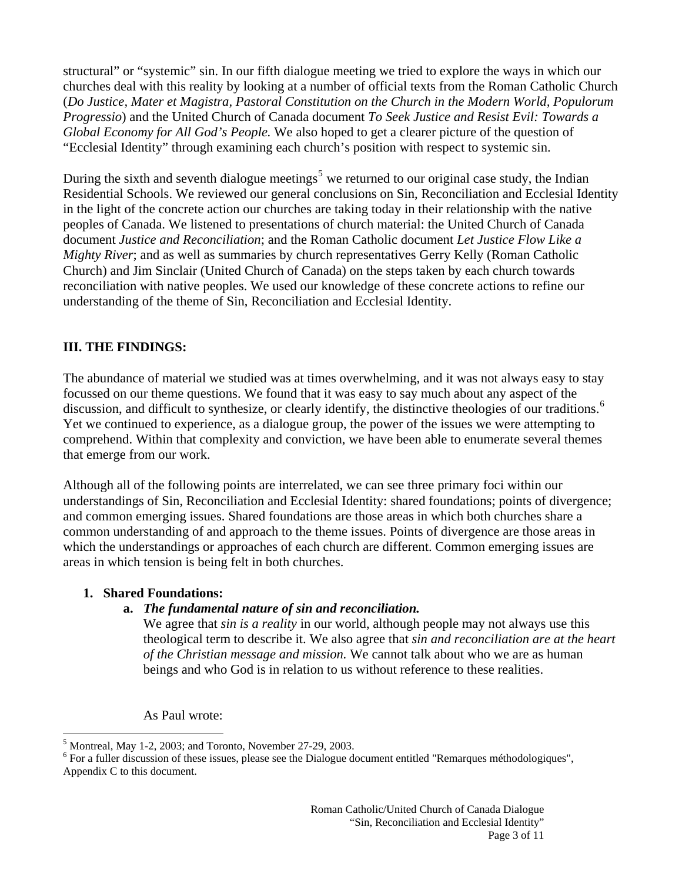structural" or "systemic" sin. In our fifth dialogue meeting we tried to explore the ways in which our churches deal with this reality by looking at a number of official texts from the Roman Catholic Church (*Do Justice, Mater et Magistra, Pastoral Constitution on the Church in the Modern World, Populorum Progressio*) and the United Church of Canada document *To Seek Justice and Resist Evil: Towards a Global Economy for All God's People.* We also hoped to get a clearer picture of the question of "Ecclesial Identity" through examining each church's position with respect to systemic sin.

During the sixth and seventh dialogue meetings<sup>[5](#page-2-0)</sup> we returned to our original case study, the Indian Residential Schools. We reviewed our general conclusions on Sin, Reconciliation and Ecclesial Identity in the light of the concrete action our churches are taking today in their relationship with the native peoples of Canada. We listened to presentations of church material: the United Church of Canada document *Justice and Reconciliation*; and the Roman Catholic document *Let Justice Flow Like a Mighty River*; and as well as summaries by church representatives Gerry Kelly (Roman Catholic Church) and Jim Sinclair (United Church of Canada) on the steps taken by each church towards reconciliation with native peoples. We used our knowledge of these concrete actions to refine our understanding of the theme of Sin, Reconciliation and Ecclesial Identity.

## **III. THE FINDINGS:**

The abundance of material we studied was at times overwhelming, and it was not always easy to stay focussed on our theme questions. We found that it was easy to say much about any aspect of the discussion, and difficult to synthesize, or clearly identify, the distinctive theologies of our traditions.<sup>[6](#page-2-1)</sup> Yet we continued to experience, as a dialogue group, the power of the issues we were attempting to comprehend. Within that complexity and conviction, we have been able to enumerate several themes that emerge from our work.

Although all of the following points are interrelated, we can see three primary foci within our understandings of Sin, Reconciliation and Ecclesial Identity: shared foundations; points of divergence; and common emerging issues. Shared foundations are those areas in which both churches share a common understanding of and approach to the theme issues. Points of divergence are those areas in which the understandings or approaches of each church are different. Common emerging issues are areas in which tension is being felt in both churches.

#### **1. Shared Foundations:**

 $\overline{a}$ 

## **a.** *The fundamental nature of sin and reconciliation.*

We agree that *sin is a reality* in our world, although people may not always use this theological term to describe it. We also agree that *sin and reconciliation are at the heart of the Christian message and mission.* We cannot talk about who we are as human beings and who God is in relation to us without reference to these realities.

As Paul wrote:

<span id="page-2-0"></span> $<sup>5</sup>$  Montreal, May 1-2, 2003; and Toronto, November 27-29, 2003.</sup>

<span id="page-2-1"></span><sup>&</sup>lt;sup>6</sup> For a fuller discussion of these issues, please see the Dialogue document entitled "Remarques méthodologiques", Appendix C to this document.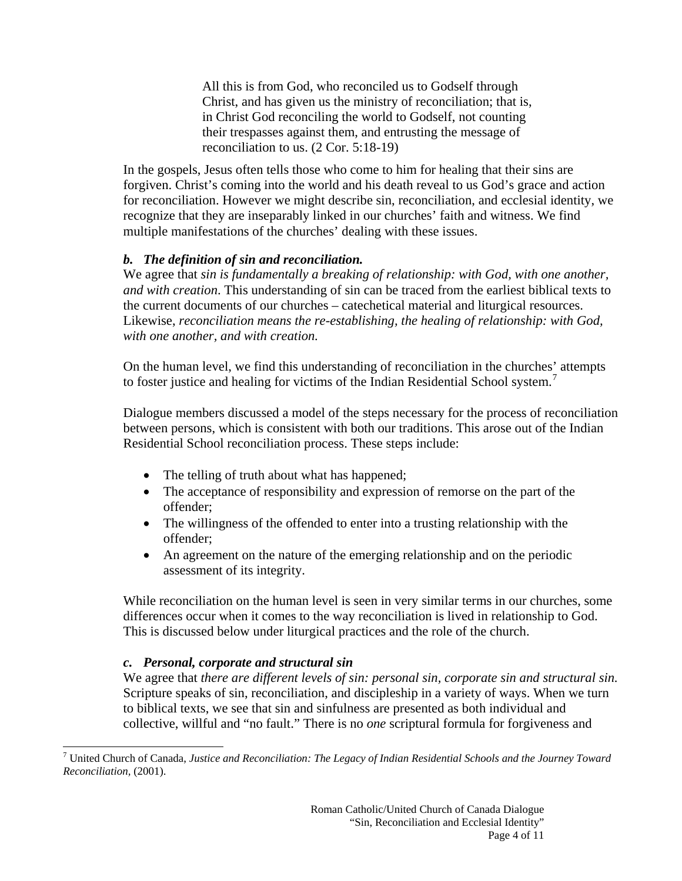All this is from God, who reconciled us to Godself through Christ, and has given us the ministry of reconciliation; that is, in Christ God reconciling the world to Godself, not counting their trespasses against them, and entrusting the message of reconciliation to us. (2 Cor. 5:18-19)

In the gospels, Jesus often tells those who come to him for healing that their sins are forgiven. Christ's coming into the world and his death reveal to us God's grace and action for reconciliation. However we might describe sin, reconciliation, and ecclesial identity, we recognize that they are inseparably linked in our churches' faith and witness. We find multiple manifestations of the churches' dealing with these issues.

#### *b. The definition of sin and reconciliation.*

We agree that *sin is fundamentally a breaking of relationship: with God, with one another, and with creation*. This understanding of sin can be traced from the earliest biblical texts to the current documents of our churches – catechetical material and liturgical resources. Likewise, *reconciliation means the re-establishing, the healing of relationship: with God, with one another, and with creation.*

On the human level, we find this understanding of reconciliation in the churches' attempts to foster justice and healing for victims of the Indian Residential School system.<sup>[7](#page-3-0)</sup>

Dialogue members discussed a model of the steps necessary for the process of reconciliation between persons, which is consistent with both our traditions. This arose out of the Indian Residential School reconciliation process. These steps include:

- The telling of truth about what has happened;
- The acceptance of responsibility and expression of remorse on the part of the offender;
- The willingness of the offended to enter into a trusting relationship with the offender;
- An agreement on the nature of the emerging relationship and on the periodic assessment of its integrity.

While reconciliation on the human level is seen in very similar terms in our churches, some differences occur when it comes to the way reconciliation is lived in relationship to God. This is discussed below under liturgical practices and the role of the church.

#### *c. Personal, corporate and structural sin*

 $\overline{a}$ 

We agree that *there are different levels of sin: personal sin, corporate sin and structural sin.*  Scripture speaks of sin, reconciliation, and discipleship in a variety of ways. When we turn to biblical texts, we see that sin and sinfulness are presented as both individual and collective, willful and "no fault." There is no *one* scriptural formula for forgiveness and

<span id="page-3-0"></span><sup>7</sup> United Church of Canada, *Justice and Reconciliation: The Legacy of Indian Residential Schools and the Journey Toward Reconciliation,* (2001).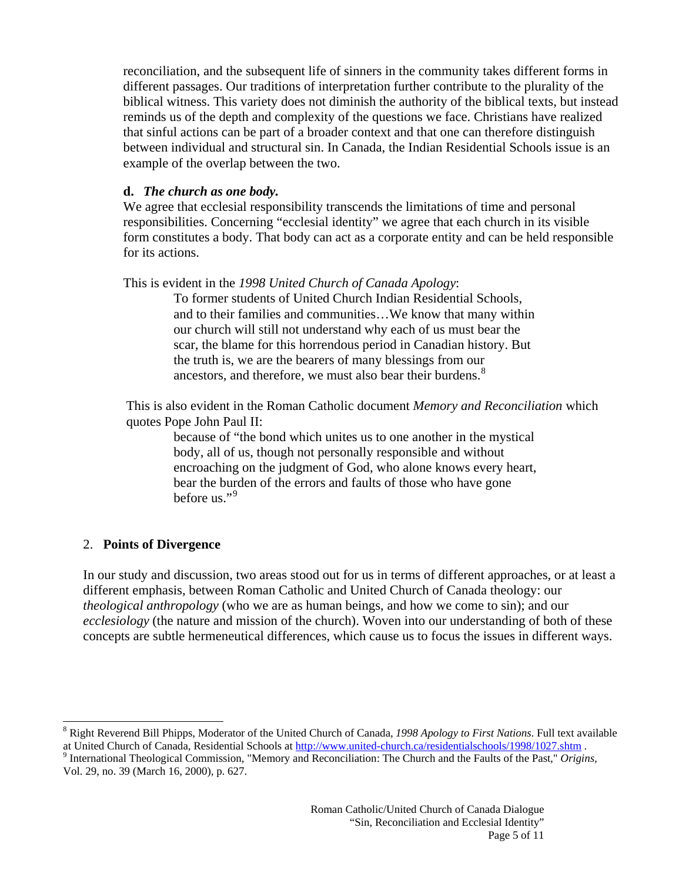reconciliation, and the subsequent life of sinners in the community takes different forms in different passages. Our traditions of interpretation further contribute to the plurality of the biblical witness. This variety does not diminish the authority of the biblical texts, but instead reminds us of the depth and complexity of the questions we face. Christians have realized that sinful actions can be part of a broader context and that one can therefore distinguish between individual and structural sin. In Canada, the Indian Residential Schools issue is an example of the overlap between the two.

#### **d.** *The church as one body.*

We agree that ecclesial responsibility transcends the limitations of time and personal responsibilities. Concerning "ecclesial identity" we agree that each church in its visible form constitutes a body. That body can act as a corporate entity and can be held responsible for its actions.

#### This is evident in the *1998 United Church of Canada Apology*:

To former students of United Church Indian Residential Schools, and to their families and communities…We know that many within our church will still not understand why each of us must bear the scar, the blame for this horrendous period in Canadian history. But the truth is, we are the bearers of many blessings from our ancestors, and therefore, we must also bear their burdens.<sup>[8](#page-4-0)</sup>

This is also evident in the Roman Catholic document *Memory and Reconciliation* which quotes Pope John Paul II:

> because of "the bond which unites us to one another in the mystical body, all of us, though not personally responsible and without encroaching on the judgment of God, who alone knows every heart, bear the burden of the errors and faults of those who have gone before us."<sup>[9](#page-4-1)</sup>

## 2. **Points of Divergence**

 $\overline{a}$ 

In our study and discussion, two areas stood out for us in terms of different approaches, or at least a different emphasis, between Roman Catholic and United Church of Canada theology: our *theological anthropology* (who we are as human beings, and how we come to sin); and our *ecclesiology* (the nature and mission of the church). Woven into our understanding of both of these concepts are subtle hermeneutical differences, which cause us to focus the issues in different ways.

<span id="page-4-0"></span><sup>8</sup> Right Reverend Bill Phipps, Moderator of the United Church of Canada, *1998 Apology to First Nations*. Full text available at United Church of Canada, Residential Schools at<http://www.united-church.ca/residentialschools/1998/1027.shtm> . 9

<span id="page-4-1"></span><sup>&</sup>lt;sup>9</sup> International Theological Commission, "Memory and Reconciliation: The Church and the Faults of the Past," Origins, Vol. 29, no. 39 (March 16, 2000)*,* p. 627.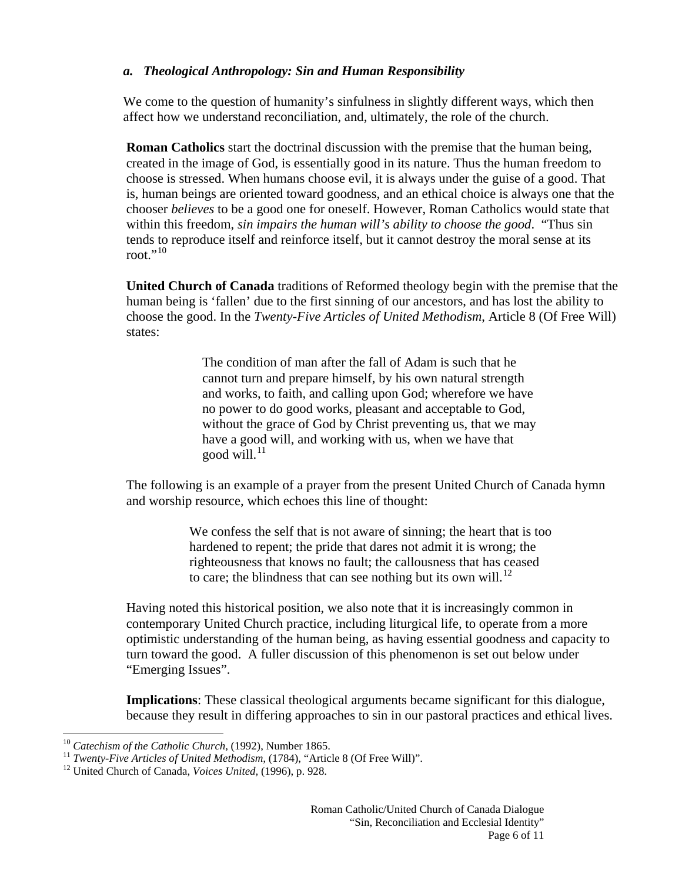#### *a. Theological Anthropology: Sin and Human Responsibility*

We come to the question of humanity's sinfulness in slightly different ways, which then affect how we understand reconciliation, and, ultimately, the role of the church.

**Roman Catholics** start the doctrinal discussion with the premise that the human being, created in the image of God, is essentially good in its nature. Thus the human freedom to choose is stressed. When humans choose evil, it is always under the guise of a good. That is, human beings are oriented toward goodness, and an ethical choice is always one that the chooser *believes* to be a good one for oneself. However, Roman Catholics would state that within this freedom, *sin impairs the human will's ability to choose the good*. "Thus sin tends to reproduce itself and reinforce itself, but it cannot destroy the moral sense at its root." $^{10}$  $^{10}$  $^{10}$ 

**United Church of Canada** traditions of Reformed theology begin with the premise that the human being is 'fallen' due to the first sinning of our ancestors, and has lost the ability to choose the good. In the *Twenty-Five Articles of United Methodism*, Article 8 (Of Free Will) states:

> The condition of man after the fall of Adam is such that he cannot turn and prepare himself, by his own natural strength and works, to faith, and calling upon God; wherefore we have no power to do good works, pleasant and acceptable to God, without the grace of God by Christ preventing us, that we may have a good will, and working with us, when we have that good will. $^{11}$  $^{11}$  $^{11}$

The following is an example of a prayer from the present United Church of Canada hymn and worship resource, which echoes this line of thought:

> We confess the self that is not aware of sinning; the heart that is too hardened to repent; the pride that dares not admit it is wrong; the righteousness that knows no fault; the callousness that has ceased to care; the blindness that can see nothing but its own will.<sup>[12](#page-5-2)</sup>

Having noted this historical position, we also note that it is increasingly common in contemporary United Church practice, including liturgical life, to operate from a more optimistic understanding of the human being, as having essential goodness and capacity to turn toward the good. A fuller discussion of this phenomenon is set out below under "Emerging Issues".

**Implications**: These classical theological arguments became significant for this dialogue, because they result in differing approaches to sin in our pastoral practices and ethical lives.

<span id="page-5-0"></span> $10$  Catechism of the Catholic Church, (1992), Number 1865.

<span id="page-5-1"></span><sup>&</sup>lt;sup>11</sup> *Twenty-Five Articles of United Methodism,* (1784), "Article 8 (Of Free Will)".<br><sup>12</sup> United Church of Canada, *Voices United,* (1996), p. 928.

<span id="page-5-2"></span>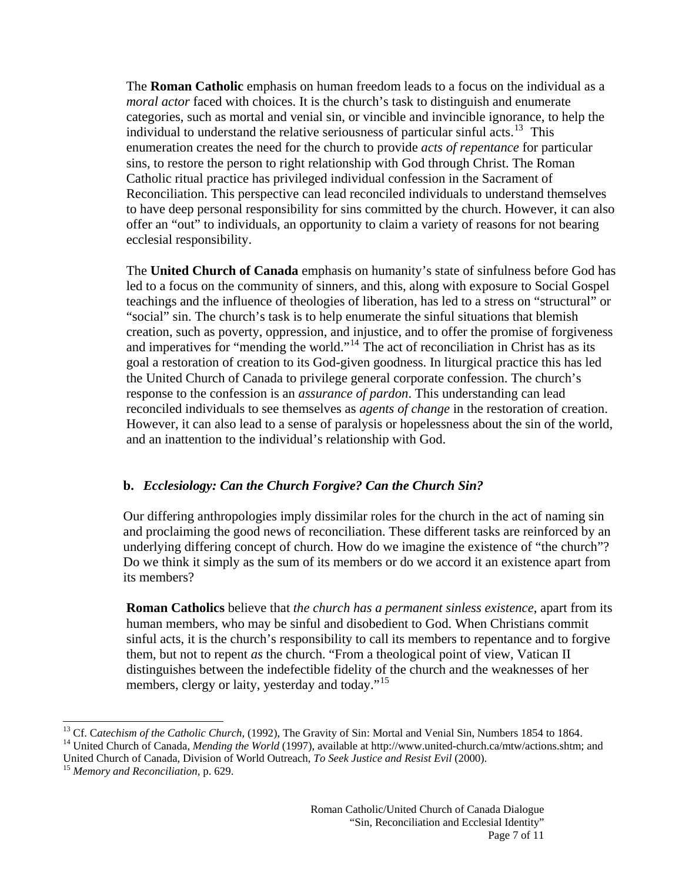The **Roman Catholic** emphasis on human freedom leads to a focus on the individual as a *moral actor* faced with choices. It is the church's task to distinguish and enumerate categories, such as mortal and venial sin, or vincible and invincible ignorance, to help the individual to understand the relative seriousness of particular sinful acts.<sup>[13](#page-6-0)</sup> This enumeration creates the need for the church to provide *acts of repentance* for particular sins, to restore the person to right relationship with God through Christ. The Roman Catholic ritual practice has privileged individual confession in the Sacrament of Reconciliation. This perspective can lead reconciled individuals to understand themselves to have deep personal responsibility for sins committed by the church. However, it can also offer an "out" to individuals, an opportunity to claim a variety of reasons for not bearing ecclesial responsibility.

The **United Church of Canada** emphasis on humanity's state of sinfulness before God has led to a focus on the community of sinners, and this, along with exposure to Social Gospel teachings and the influence of theologies of liberation, has led to a stress on "structural" or "social" sin. The church's task is to help enumerate the sinful situations that blemish creation, such as poverty, oppression, and injustice, and to offer the promise of forgiveness and imperatives for "mending the world."<sup>[14](#page-6-1)</sup> The act of reconciliation in Christ has as its goal a restoration of creation to its God-given goodness. In liturgical practice this has led the United Church of Canada to privilege general corporate confession. The church's response to the confession is an *assurance of pardon*. This understanding can lead reconciled individuals to see themselves as *agents of change* in the restoration of creation. However, it can also lead to a sense of paralysis or hopelessness about the sin of the world, and an inattention to the individual's relationship with God.

## **b.** *Ecclesiology: Can the Church Forgive? Can the Church Sin?*

Our differing anthropologies imply dissimilar roles for the church in the act of naming sin and proclaiming the good news of reconciliation. These different tasks are reinforced by an underlying differing concept of church. How do we imagine the existence of "the church"? Do we think it simply as the sum of its members or do we accord it an existence apart from its members?

**Roman Catholics** believe that *the church has a permanent sinless existence*, apart from its human members, who may be sinful and disobedient to God. When Christians commit sinful acts, it is the church's responsibility to call its members to repentance and to forgive them, but not to repent *as* the church. "From a theological point of view, Vatican II distinguishes between the indefectible fidelity of the church and the weaknesses of her members, clergy or laity, yesterday and today."<sup>[15](#page-6-2)</sup>

 $\overline{a}$ 

<span id="page-6-0"></span><sup>&</sup>lt;sup>13</sup> Cf. Catechism of the Catholic Church, (1992), The Gravity of Sin: Mortal and Venial Sin, Numbers 1854 to 1864.<br><sup>14</sup> United Church of Canada, *Mending the World* (1997), available at http://www.united-church.ca/mtw/ac

<span id="page-6-2"></span><span id="page-6-1"></span>United Church of Canada, Division of World Outreach, *To Seek Justice and Resist Evil* (2000). 15 *Memory and Reconciliation,* p. 629.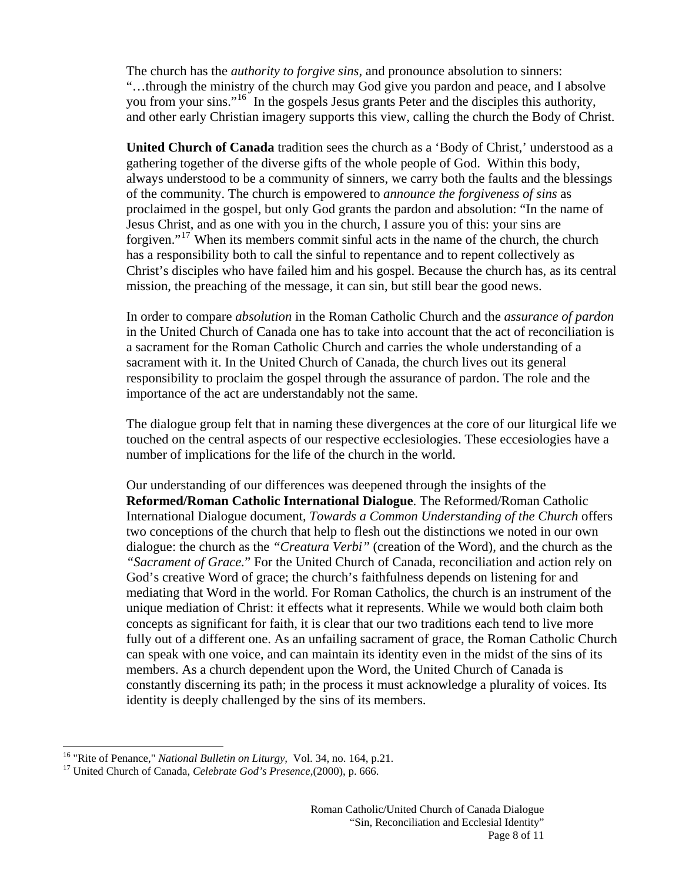The church has the *authority to forgive sins*, and pronounce absolution to sinners: "…through the ministry of the church may God give you pardon and peace, and I absolve you from your sins."<sup>[16](#page-7-0)</sup> In the gospels Jesus grants Peter and the disciples this authority, and other early Christian imagery supports this view, calling the church the Body of Christ.

**United Church of Canada** tradition sees the church as a 'Body of Christ,' understood as a gathering together of the diverse gifts of the whole people of God. Within this body, always understood to be a community of sinners, we carry both the faults and the blessings of the community. The church is empowered to *announce the forgiveness of sins* as proclaimed in the gospel, but only God grants the pardon and absolution: "In the name of Jesus Christ, and as one with you in the church, I assure you of this: your sins are forgiven."[17](#page-7-1) When its members commit sinful acts in the name of the church, the church has a responsibility both to call the sinful to repentance and to repent collectively as Christ's disciples who have failed him and his gospel. Because the church has, as its central mission, the preaching of the message, it can sin, but still bear the good news.

In order to compare *absolution* in the Roman Catholic Church and the *assurance of pardon* in the United Church of Canada one has to take into account that the act of reconciliation is a sacrament for the Roman Catholic Church and carries the whole understanding of a sacrament with it. In the United Church of Canada, the church lives out its general responsibility to proclaim the gospel through the assurance of pardon. The role and the importance of the act are understandably not the same.

The dialogue group felt that in naming these divergences at the core of our liturgical life we touched on the central aspects of our respective ecclesiologies. These eccesiologies have a number of implications for the life of the church in the world.

Our understanding of our differences was deepened through the insights of the **Reformed/Roman Catholic International Dialogue**. The Reformed/Roman Catholic International Dialogue document, *Towards a Common Understanding of the Church* offers two conceptions of the church that help to flesh out the distinctions we noted in our own dialogue: the church as the *"Creatura Verbi"* (creation of the Word), and the church as the *"Sacrament of Grace.*" For the United Church of Canada, reconciliation and action rely on God's creative Word of grace; the church's faithfulness depends on listening for and mediating that Word in the world. For Roman Catholics, the church is an instrument of the unique mediation of Christ: it effects what it represents. While we would both claim both concepts as significant for faith, it is clear that our two traditions each tend to live more fully out of a different one. As an unfailing sacrament of grace, the Roman Catholic Church can speak with one voice, and can maintain its identity even in the midst of the sins of its members. As a church dependent upon the Word, the United Church of Canada is constantly discerning its path; in the process it must acknowledge a plurality of voices. Its identity is deeply challenged by the sins of its members.

 $\overline{a}$ 

<span id="page-7-1"></span><span id="page-7-0"></span><sup>&</sup>lt;sup>16</sup> "Rite of Penance," *National Bulletin on Liturgy*, Vol. 34, no. 164, p.21.<br><sup>17</sup> United Church of Canada, *Celebrate God's Presence*,(2000), p. 666.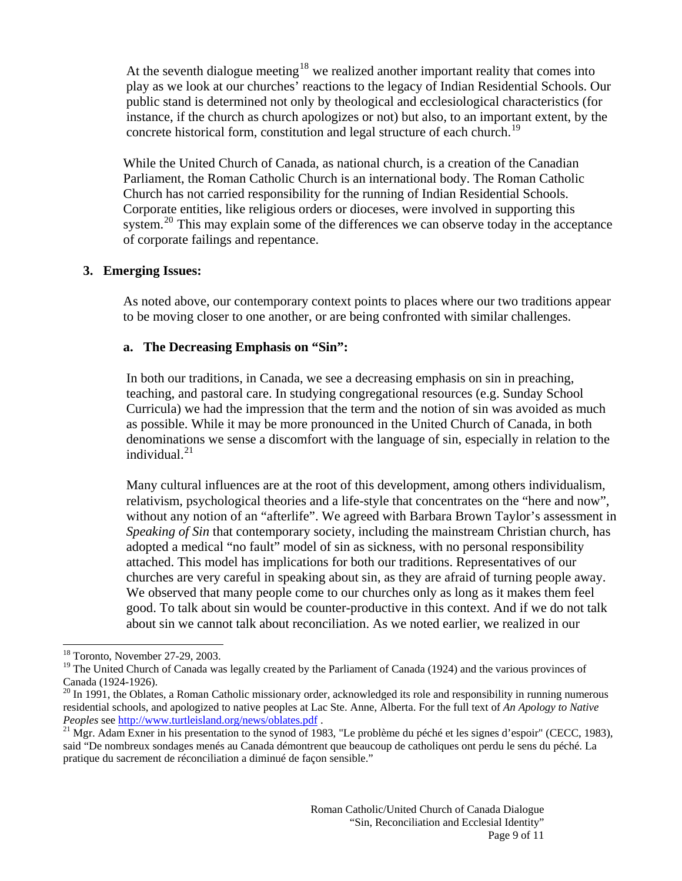At the seventh dialogue meeting<sup>[18](#page-8-0)</sup> we realized another important reality that comes into play as we look at our churches' reactions to the legacy of Indian Residential Schools. Our public stand is determined not only by theological and ecclesiological characteristics (for instance, if the church as church apologizes or not) but also, to an important extent, by the concrete historical form, constitution and legal structure of each church.<sup>[19](#page-8-1)</sup>

While the United Church of Canada, as national church, is a creation of the Canadian Parliament, the Roman Catholic Church is an international body. The Roman Catholic Church has not carried responsibility for the running of Indian Residential Schools. Corporate entities, like religious orders or dioceses, were involved in supporting this system.<sup>[20](#page-8-2)</sup> This may explain some of the differences we can observe today in the acceptance of corporate failings and repentance.

#### **3. Emerging Issues:**

As noted above, our contemporary context points to places where our two traditions appear to be moving closer to one another, or are being confronted with similar challenges.

## **a. The Decreasing Emphasis on "Sin":**

In both our traditions, in Canada, we see a decreasing emphasis on sin in preaching, teaching, and pastoral care. In studying congregational resources (e.g. Sunday School Curricula) we had the impression that the term and the notion of sin was avoided as much as possible. While it may be more pronounced in the United Church of Canada, in both denominations we sense a discomfort with the language of sin, especially in relation to the individual. $^{21}$  $^{21}$  $^{21}$ 

Many cultural influences are at the root of this development, among others individualism, relativism, psychological theories and a life-style that concentrates on the "here and now", without any notion of an "afterlife". We agreed with Barbara Brown Taylor's assessment in *Speaking of Sin* that contemporary society, including the mainstream Christian church, has adopted a medical "no fault" model of sin as sickness, with no personal responsibility attached. This model has implications for both our traditions. Representatives of our churches are very careful in speaking about sin, as they are afraid of turning people away. We observed that many people come to our churches only as long as it makes them feel good. To talk about sin would be counter-productive in this context. And if we do not talk about sin we cannot talk about reconciliation. As we noted earlier, we realized in our

 $\overline{a}$ 18 Toronto, November 27-29, 2003.

<span id="page-8-1"></span><span id="page-8-0"></span><sup>&</sup>lt;sup>19</sup> The United Church of Canada was legally created by the Parliament of Canada (1924) and the various provinces of Canada (1924-1926).

<span id="page-8-2"></span> $^{20}$  In 1991, the Oblates, a Roman Catholic missionary order, acknowledged its role and responsibility in running numerous residential schools, and apologized to native peoples at Lac Ste. Anne, Alberta. For the full text of *An Apology to Native Peoples* see<http://www.turtleisland.org/news/oblates.pdf> .<br><sup>21</sup> Mgr. Adam Exner in his presentation to the synod of 1983, "Le problème du péché et les signes d'espoir" (CECC, 1983),

<span id="page-8-3"></span>said "De nombreux sondages menés au Canada démontrent que beaucoup de catholiques ont perdu le sens du péché. La pratique du sacrement de réconciliation a diminué de façon sensible."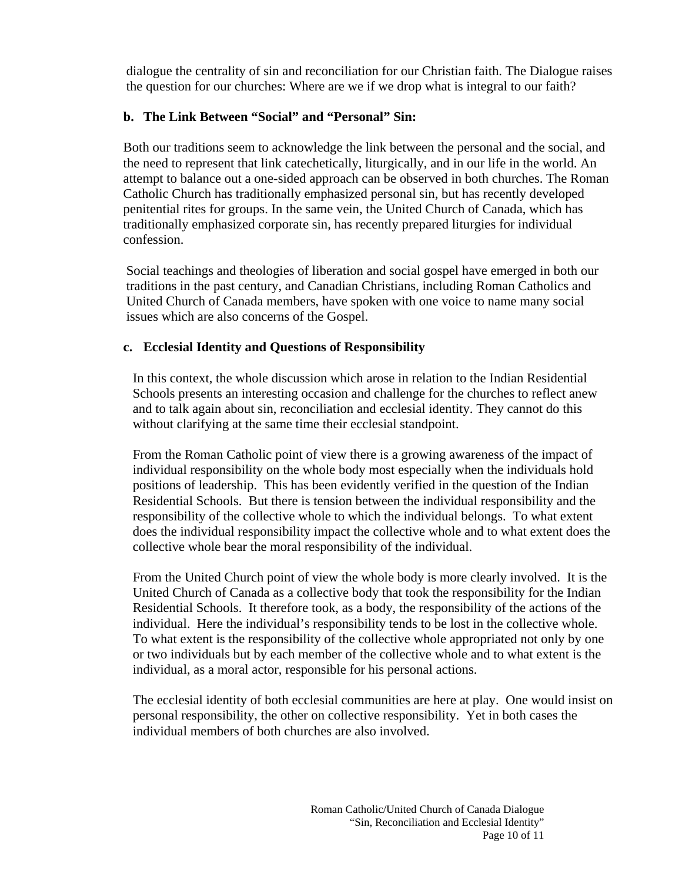dialogue the centrality of sin and reconciliation for our Christian faith. The Dialogue raises the question for our churches: Where are we if we drop what is integral to our faith?

## **b. The Link Between "Social" and "Personal" Sin:**

Both our traditions seem to acknowledge the link between the personal and the social, and the need to represent that link catechetically, liturgically, and in our life in the world. An attempt to balance out a one-sided approach can be observed in both churches. The Roman Catholic Church has traditionally emphasized personal sin, but has recently developed penitential rites for groups. In the same vein, the United Church of Canada, which has traditionally emphasized corporate sin, has recently prepared liturgies for individual confession.

Social teachings and theologies of liberation and social gospel have emerged in both our traditions in the past century, and Canadian Christians, including Roman Catholics and United Church of Canada members, have spoken with one voice to name many social issues which are also concerns of the Gospel.

## **c. Ecclesial Identity and Questions of Responsibility**

In this context, the whole discussion which arose in relation to the Indian Residential Schools presents an interesting occasion and challenge for the churches to reflect anew and to talk again about sin, reconciliation and ecclesial identity. They cannot do this without clarifying at the same time their ecclesial standpoint.

From the Roman Catholic point of view there is a growing awareness of the impact of individual responsibility on the whole body most especially when the individuals hold positions of leadership. This has been evidently verified in the question of the Indian Residential Schools. But there is tension between the individual responsibility and the responsibility of the collective whole to which the individual belongs. To what extent does the individual responsibility impact the collective whole and to what extent does the collective whole bear the moral responsibility of the individual.

From the United Church point of view the whole body is more clearly involved. It is the United Church of Canada as a collective body that took the responsibility for the Indian Residential Schools. It therefore took, as a body, the responsibility of the actions of the individual. Here the individual's responsibility tends to be lost in the collective whole. To what extent is the responsibility of the collective whole appropriated not only by one or two individuals but by each member of the collective whole and to what extent is the individual, as a moral actor, responsible for his personal actions.

The ecclesial identity of both ecclesial communities are here at play. One would insist on personal responsibility, the other on collective responsibility. Yet in both cases the individual members of both churches are also involved.